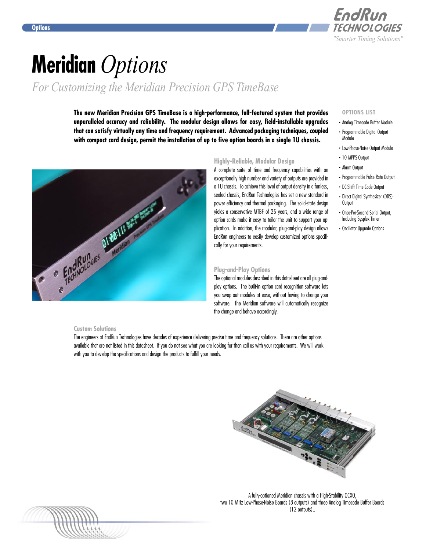

# **Meridian** *Options*

*For Customizing the Meridian Precision GPS TimeBase*

**The new Meridian Precision GPS TimeBase is a high-performance, full-featured system that provides unparalleled accuracy and reliability. The modular design allows for easy, field-installable upgrades that can satisfy virtually any time and frequency requirement. Advanced packaging techniques, coupled with compact card design, permit the installation of up to five option boards in a single 1U chassis.**



### **Highly-Reliable, Modular Design**

A complete suite of time and frequency capabilities with an exceptionally high number and variety of outputs are provided in a 1U chassis. To achieve this level of output density in a fanless, sealed chassis, EndRun Technologies has set a new standard in power efficiency and thermal packaging. The solid-state design yields a conservative MTBF of 25 years, and a wide range of option cards make it easy to tailor the unit to support your application. In addition, the modular, plug-and-play design allows EndRun engineers to easily develop customized options specifically for your requirements.

### **Plug-and-Play Options**

The optional modules described in this datasheet are all plug-andplay options. The built-in option card recognition software lets you swap out modules at ease, without having to change your software. The Meridian software will automatically recognize the change and behave accordingly.

### **Custom Solutions**

The engineers at EndRun Technologies have decades of experience delivering precise time and frequency solutions. There are other options available that are not listed in this datasheet. If you do not see what you are looking for then call us with your requirements. We will work with you to develop the specifications and design the products to fulfill your needs.



A fully-optioned Meridian chassis with a High-Stability OCXO, two 10 MHz Low-Phase-Noise Boards (8 outputs) and three Analog Timecode Buffer Boards (12 outputs)..

#### **OPTIONS LIST**

- . Analog Timecode Buffer Module
- . Programmable Digital Output Module
- . Low-Phase-Noise Output Module
- . 10 MPPS Output
- . Alarm Output
- . Programmable Pulse Rate Output
- . DC-Shift Time Code Output
- . Direct Digital Synthesizer (DDS) **Output**
- . Once-Per-Second Serial Output, Including Sysplex Timer
- . Oscillator Upgrade Options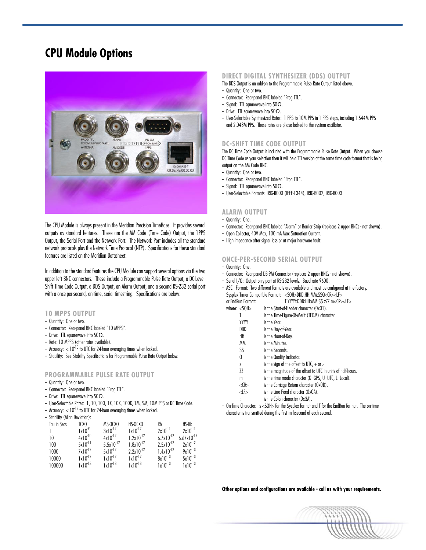### **CPU Module Options**



The CPU Module is always present in the Meridian Precision TimeBase. It provides several outputs as standard features. These are the AM Code (Time Code) Output, the 1PPS Output, the Serial Port and the Network Port. The Network Port includes all the standard network protocols plus the Network Time Protocol (NTP). Specifications for these standard features are listed on the Meridian Datasheet.

In addition to the standard features the CPU Module can support several options via the two upper left BNC connectors. These include a Programmable Pulse Rate Output, a DC-Level-Shift Time Code Output, a DDS Output, an Alarm Output, and a second RS-232 serial port with a once-per-second, on-time, serial timestring. Specifications are below:

### **10 MPPS OUTPUT**

- Quantity: One or two.
- Connector: Rear-panel BNC labeled "10 MPPS".
- Drive:  $\Pi$ L squarewave into 50 $\Omega$ .
- Rate: 10 MPPS (other rates available).
- Accuracy:  $< 10^{-13}$  to UTC for 24-hour averaging times when locked.
- -- Stability: See Stability Specifications for Programmable Pulse Rate Output below.

### **PROGRAMMABLE PULSE RATE OUTPUT**

- Quantity: One or two.
- -- Connector: Rear-panel BNC labeled "Prog TTL".
- Drive: TTL squarewave into  $50\Omega$ .
- User-Selectable Rates: 1, 10, 100, 1K, 10K, 100K, 1M, 5M, 10M PPS or DC Time Code.
- Accuracy:  $< 10^{-13}$  to UTC for 24-hour averaging times when locked.
- Stability (Allan Deviation):

| Tau in Secs | TCXO               | MS-OCXO        | HS-OCXO        | Rb             | $H$ S-R $h$            |
|-------------|--------------------|----------------|----------------|----------------|------------------------|
|             | 1x10 <sup>.9</sup> | $3x10^{-12}$   | $1x10^{-12}$   | $2x10^{-11}$   | $2x10^{-11}$           |
| 10          | $4x10^{-10}$       | $4x10^{-12}$   | $1.2x10^{-12}$ | $6.7x10^{-12}$ | $6.67 \times 10^{-12}$ |
| 100         | $5x10^{-11}$       | $5.5x10^{-12}$ | $1.8x10^{-12}$ | $2.5x10^{-12}$ | $2x10^{-12}$           |
| 1000        | $7x10^{-12}$       | $5x10^{-12}$   | $2.2x10^{-12}$ | $1.4x10^{-12}$ | $9x10^{-13}$           |
| 10000       | $1x10^{-12}$       | $1x10^{-12}$   | $1x10^{-12}$   | $8x10^{-13}$   | $5x10^{-13}$           |
| 100000      | $1x10^{-13}$       | $1x10^{-13}$   | $1x10^{-13}$   | $1x10^{-13}$   | $1x10^{-13}$           |

### **DIRECT DIGITAL SYNTHESIZER (DDS) OUTPUT**

- The DDS Output is an add-on to the Programmable Pulse Rate Output listed above. - Quantity: One or two.
- -- Connector: Rear-panel BNC labeled "Prog TTL".
- Signal: TTL squarewave into  $50\Omega$ .
- Drive:  $\Pi$ L squarewave into 50 $\Omega$ .
- -- User-Selectable Synthesized Rates: 1 PPS to 10M PPS in 1 PPS steps, including 1.544M PPS and 2.048M PPS. These rates are phase locked to the system oscillator.

### **DC-SHIFT TIME CODE OUTPUT**

The DC Time Code Output is included with the Programmable Pulse Rate Output. When you choose DC Time Code as your selection then it will be a TTL version of the same time code format that is being output on the AM Code BNC.

- Quantity: One or two.
- Connector: Rear-panel BNC labeled "Prog TTL".
- Signal: TTL squarewave into  $50\Omega$ .
- -- User-Selectable Formats: IRIG-B000 (IEEE-1344), IRIG-B002, IRIG-B003

#### **ALARM OUTPUT**

- -- Quantity: One.
- Connector: Rear-panel BNC labeled "Alarm" or Barrier Strip (replaces 2 upper BNCs not shown).
- -- Open Collector, 40V Max, 100 mA Max Saturation Current.
- High impedance after signal loss or at major hardware fault.

### **ONCE-PER-SECOND SERIAL OUTPUT**

- -- Quantity: One.
- Connector: Rear-panel DB-9M Connector (replaces 2 upper BNCs not shown).
- -- Serial I/O: Output only port at RS-232 levels. Baud rate 9600.
- -- ASCII Format: Two different formats are available and must be configured at the factory. Sysplex Timer Compatible Format: <SOH>DDD:HH:MM:SSQ<CR><LF>

| _____<br>or EndRun Format: | T YYYY:DDD:HH:MM:SS zZZ m <cr><lf></lf></cr> |
|----------------------------|----------------------------------------------|
| where: $<$ SOH $>$         | is the Start-of-Header character (OxO1).     |

| IE. < JUN> | IS THE SIGHT-OF-REGUER CHURCLER (UXUT).       |
|------------|-----------------------------------------------|
|            | is the Time-Figure-Of-Merit (TFOM) character. |

|             | יושעו ד־סוווור סווו כו |
|-------------|------------------------|
| <b>VVVV</b> | ic the Vear            |

| .   | <b>13 1116 1691.</b> |
|-----|----------------------|
| nnn | n                    |

- DDD is the Day-of-Year. HH is the Hour-of-Day.
- MM is the Minutes.
- SS is the Seconds.
- Q is the Quality Indicator.
- 
- $z$  is the sign of the offset to UTC,  $+$  or .-
- ZZ is the magnitude of the offset to UTC in units of half-hours.
- m is the time mode character (G=GPS, U=UTC, L=Local).
- <CR> is the Carriage Return character (0x0D).
- <LF> is the Line Feed character (0x0A).
- : is the Colon character (0x3A).
- -- On-Time Character: is <SOH> for the Sysplex format and T for the EndRun format. The on-time character is transmitted during the first millisecond of each second.

**Other options and configurations are available - call us with your requirements.**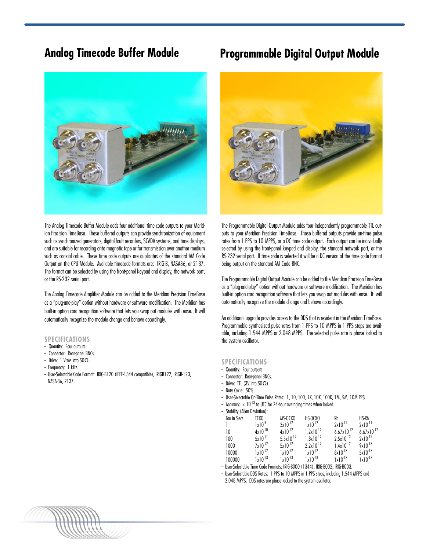

The Analog Timecode Buffer Module adds four additional time code outputs to your Meridian Precision TimeBase. These buffered outputs can provide synchronization of equipment such as synchronized generators, digital fault recorders, SCADA systems, and time displays, and are suitable for recording onto magnetic tape or for transmission over another medium such as coaxial cable. These time code outputs are duplicates of the standard AM Code Output on the CPU Module. Available timecode formats are: IRIG-B, NASA36, or 2137. The format can be selected by using the front-panel keypad and display, the network port, or the RS-232 serial port.

The Analog Timecode Amplifier Module can be added to the Meridian Precision TimeBase as a "plug-and-play" option without hardware or software modification. The Meridian has built-in option card recognition software that lets you swap out modules with ease. It will automatically recognize the module change and behave accordingly.

### **SPECIFICATIONS**

- Quantity: Four outputs
- Connector: Rear-panel BNCs.
- -- Drive: 1 Vrms into 50Ω.
- Frequency: 1 kHz.
- User-Selectable Code Format: IRIG-B120 (IEEE-1344 compatible), IRIGB122, IRIGB-123, NASA-36, 2137.

### **Analog Timecode Buffer Module Programmable Digital Output Module**



The Programmable Digital Output Module adds four independently programmable TTL outputs to your Meridian Precision TimeBase. These buffered outputs provide on-time pulse rates from 1 PPS to 10 MPPS, or a DC time code output. Each output can be individually selected by using the front-panel keypad and display, the standard network port, or the RS-232 serial port. If time code is selected it will be a DC version of the time code format being output on the standard AM Code BNC.

The Programmable Digital Output Module can be added to the Meridian Precision TimeBase as a "plug-and-play" option without hardware or software modification. The Meridian has built-in option card recognition software that lets you swap out modules with ease. It will automatically recognize the module change and behave accordingly.

An additional upgrade provides access to the DDS that is resident in the Meridian TimeBase. Programmable synthesized pulse rates from 1 PPS to 10 MPPS in 1 PPS steps are available, including 1.544 MPPS or 2.048 MPPS. The selected pulse rate is phase locked to the system oscillator.

### **SPECIFICATIONS**

- Quantity: Four outputs
- -- Connector: Rear-panel BNCs.
- Drive: TTL (3V into  $50Ω$ ).
- Duty Cycle: 50%.
- User-Selectable On-Time Pulse Rates: 1, 10, 100, 1K, 10K, 100K, 1M, 5M, 10M PPS.
- Accuracy:  $< 10^{-13}$  to UTC for 24-hour averaging times when locked.

| - Stability (Allan Deviation): |                   |                |                                                |                        |                        |  |
|--------------------------------|-------------------|----------------|------------------------------------------------|------------------------|------------------------|--|
| Tau in Secs                    | TCXO              | MS-OCXO        | HS-OCXO                                        | Rb                     | HS-Rb                  |  |
|                                | 1x10 <sup>9</sup> | $3x10^{-12}$   | $1x10^{-12}$                                   | $2x10^{-11}$           | $2x10^{-11}$           |  |
| 10                             | $4x10^{-10}$      | $4x10^{-12}$   | $1.2x10^{-12}$                                 | $6.67 \times 10^{-12}$ | $6.67 \times 10^{-12}$ |  |
| 100                            | $5x10^{-11}$      | $5.5x10^{-12}$ | $1.8x10^{-12}$                                 | $2.5x10^{-12}$         | $2x10^{-12}$           |  |
| 1000                           | $7x10^{-12}$      | $5x10^{-12}$   | $2.2x10^{-12}$                                 | $1.4x10^{-12}$         | $9x10^{-13}$           |  |
| 10000                          | $1x10^{-12}$      | $1x10^{-12}$   | $1x10^{-12}$                                   | $8x10^{-13}$           | $5x10^{-13}$           |  |
| 100000                         | $1x10^{-13}$      | $1x10^{-13}$   | $1x10^{-13}$                                   | $1x10^{-13}$           | $1x10^{-13}$           |  |
| 11 6 1 11 71                   | $\sim$ $\sim$     |                | $\sim$ IDIA BAAA (1.0.4.1) IBIA BAAA IBIA BAAA |                        |                        |  |

- User-Selectable Time Code Formats: IRIG-B000 (1344), IRIG-B002, IRIG-B003.
- User-Selectable DDS Rates: 1 PPS to 10 MPPS in 1 PPS steps, including 1.544 MPPS and 2.048 MPPS. DDS rates are phase locked to the system oscillator.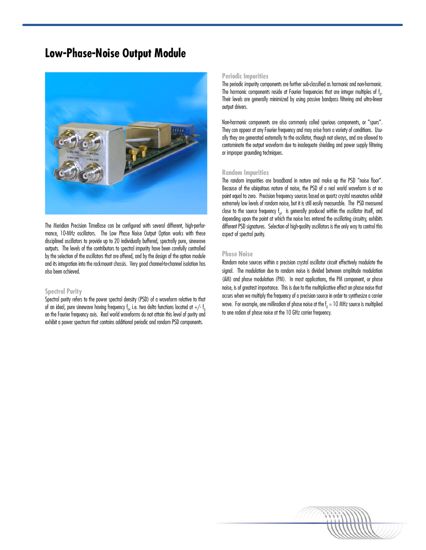### **Low-Phase-Noise Output Module**



The Meridian Precision TimeBase can be configured with several different, high-performance, 10-MHz oscillators. The Low Phase Noise Output Option works with these disciplined oscillators to provide up to 20 individually buffered, spectrally pure, sinewave outputs. The levels of the contributors to spectral impurity have been carefully controlled by the selection of the oscillators that are offered, and by the design of the option module and its integration into the rackmount chassis. Very good channel-to-channel isolation has also been achieved.

### **Spectral Purity**

Spectral purity refers to the power spectral density (PSD) of a waveform relative to that of an ideal, pure sinewave having frequency  $\mathfrak{f}_{_0\prime}$  i.e. two delta functions located at +/-  $\mathfrak{f}__0$ on the Fourier frequency axis. Real world waveforms do not attain this level of purity and exhibit a power spectrum that contains additional periodic and random PSD components.

### **Periodic Impurities**

The periodic impurity components are further sub-classified as harmonic and non-harmonic. The harmonic components reside at Fourier frequencies that are integer multiples of  $\mathfrak{f}_{_{0}}$ . Their levels are generally minimized by using passive bandpass filtering and ultra-linear output drivers.

Non-harmonic components are also commonly called spurious components, or "spurs". They can appear at any Fourier frequency and may arise from a variety of conditions. Usually they are generated externally to the oscillator, though not always, and are allowed to contaminate the output waveform due to inadequate shielding and power supply filtering or improper grounding techniques.

#### **Random Impurities**

The random impurities are broadband in nature and make up the PSD "noise floor". Because of the ubiquitous nature of noise, the PSD of a real world waveform is at no point equal to zero. Precision frequency sources based on quartz crystal resonators exhibit extremely low levels of random noise, but it is still easily measurable. The PSD measured close to the source frequency  $f_0$ , is generally produced within the oscillator itself, and depending upon the point at which the noise has entered the oscillating circuitry, exhibits different PSD signatures. Selection of high-quality oscillators is the only way to control this aspect of spectral purity.

#### **Phase Noise**

Random noise sources within a precision crystal oscillator circuit effectively modulate the signal. The modulation due to random noise is divided between amplitude modulation (AM) and phase modulation (PM). In most applications, the PM component, or phase noise, is of greatest importance. This is due to the multiplicative effect on phase noise that occurs when we multiply the frequency of a precision source in order to synthesize a carrier wave. For example, one milliradian of phase noise at the  $\mathsf{f}_0$  = 10 MHz source is multiplied to one radian of phase noise at the 10 GHz carrier frequency.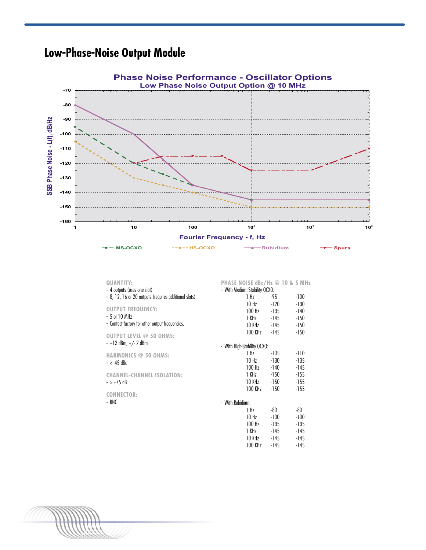## **Low-Phase-Noise Output Module**



| QUANTITY:<br>- 4 outputs (uses one slot)<br>- 8, 12, 16 or 20 outputs (requires additional slots) | PHASE NOISE dBc/Hz @ 10 & 5 MHz<br>- With Medium-Stability OCXO:<br>1 Hz | -95    | -100   |
|---------------------------------------------------------------------------------------------------|--------------------------------------------------------------------------|--------|--------|
|                                                                                                   | 10 Hz                                                                    | -120   | $-130$ |
| <b>OUTPUT FREQUENCY:</b>                                                                          | $100$ Hz                                                                 | -135   | -140   |
| $-5$ or 10 MHz                                                                                    | 1 KHz                                                                    | -145   | -150   |
| - Contact factory for other output frequencies.                                                   | 10 KHz                                                                   | -145   | -150   |
| <b>OUTPUT LEVEL @ 50 OHMS:</b>                                                                    | 100 KHz                                                                  | -145   | -150   |
| $-$ +1 3 dBm, +/- 2 dBm                                                                           | - With High-Stability OCXO:                                              |        |        |
| HARMONICS @ 50 OHMS:                                                                              | 1 Hz                                                                     | -105   | -110   |
| $- <$ -45 dBc                                                                                     | 10 Hz                                                                    | $-130$ | -135   |
|                                                                                                   | 100 Hz                                                                   | -140   | -145   |
| <b>CHANNEL-CHANNEL ISOLATION:</b>                                                                 | 1 KHz                                                                    | -150   | $-155$ |
| $-$ > +75 dB                                                                                      | 10 KHz                                                                   | -150   | $-155$ |
| <b>CONNECTOR:</b>                                                                                 | 100 KHz                                                                  | -150   | $-155$ |
| – BNC                                                                                             | - With Rubidium:                                                         |        |        |
|                                                                                                   | 1 Hz                                                                     | -80    | -80    |
|                                                                                                   | 10 Hz                                                                    | $-100$ | -100   |
|                                                                                                   | $100$ Hz                                                                 | $-135$ | -135   |
|                                                                                                   | 1 KHz                                                                    | -145   | -145   |
|                                                                                                   | 10 KHz                                                                   | $-145$ | -145   |
|                                                                                                   | 100 KHz                                                                  | -145   | -145   |

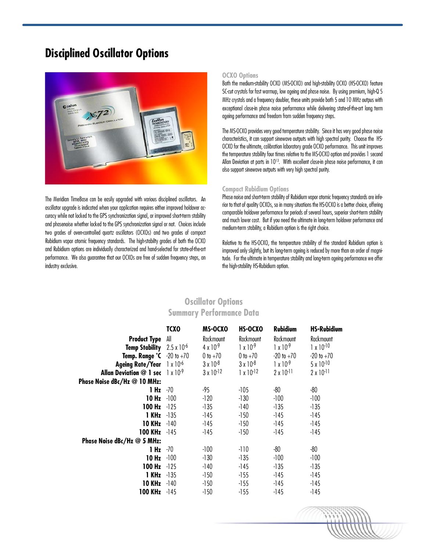### **Disciplined Oscillator Options**



The Meridian TimeBase can be easily upgraded with various disciplined oscillators. An oscillator upgrade is indicated when your application requires either improved holdover accuracy while not locked to the GPS synchronization signal, or improved short-term stability and phasenoise whether locked to the GPS synchronization signal or not. Choices include two grades of oven-controlled quartz oscillators (OCXOs) and two grades of compact Rubidium vapor atomic frequency standards. The high-stabilty grades of both the OCXO and Rubidium options are individually characterized and hand-selected for state-of-the-art performance. We also guarantee that our OCXOs are free of sudden frequency steps, an industry exclusive.

#### **OCXO Options**

Both the medium-stability OCXO (MS-OCXO) and high-stability OCXO (HS-OCXO) feature SC-cut crystals for fast warmup, low ageing and phase noise. By using premium, high-Q 5 MHz crystals and a frequency doubler, these units provide both 5 and 10 MHz outpus with exceptional close-in phase noise performance while delivering state-of-the-art long term ageing performance and freedom from sudden frequency steps.

The MS-OCXO provides very good temperature stability. Since it has very good phase noise characteristics, it can support sinewave outputs with high spectral purity. Choose the HS-OCXO for the ultimate, calibration laboratory grade OCXO performance. This unit improves the temperature stability four times relative to the MS-OCXO option and provides 1 second Allan Deviation at parts in  $10^{13}$ . With excellent close-in phase noise performance, it can also support sinewave outputs with very high spectral purity.

### **Compact Rubidium Options**

Phase noise and short-term stability of Rubidium vapor atomic frequency standards are inferior to that of quality OCXOs, so in many situations the HS-OCXO is a better choice, offering comparable holdover performance for periods of several hours, superior short-term stability and much lower cost. But if you need the ultimate in long-term holdover performance and medium-term stability, a Rubidium option is the right choice.

Relative to the HS-OCXO, the temperature stability of the standard Rubidium option is improved only slightly, but its long-term ageing is reduced by more than an order of magnitude. For the ultimate in temperature stability and long-term ageing performance we offer the high-stability HS-Rubidium option.

### **Oscillator Options Summary Performance Data**

|                                                             | <b>TCXO</b> | MS-OCXO             | HS-OCXO             | <b>Rubidium</b>     | <b>HS-Rubidium</b>  |
|-------------------------------------------------------------|-------------|---------------------|---------------------|---------------------|---------------------|
| <b>Product Type</b>                                         | All         | Rackmount           | Rackmount           | Rackmount           | Rackmount           |
| <b>Temp Stability</b> $2.5 \times 10^{-6}$                  |             | $4 \times 10^{-9}$  | $1 \times 10^{-9}$  | $1 \times 10^{-9}$  | $1 \times 10^{-10}$ |
| Temp. Range $^{\circ}$ C $-20$ to $+70$                     |             | 0 to $+70$          | 0 to $+70$          | $-20$ to $+70$      | $-20$ to $+70$      |
| Ageing Rate/Year 1 x 10 <sup>-6</sup>                       |             | $3 \times 10^{-8}$  | $3 \times 10^{-8}$  | $1 \times 10^{-9}$  | $5 \times 10^{-10}$ |
| <b>Allan Deviation @ 1 sec</b> $\frac{1 \times 10^{-9}}{9}$ |             | $3 \times 10^{-12}$ | $1 \times 10^{-12}$ | $2 \times 10^{-11}$ | $2 \times 10^{-11}$ |
| Phase Noise dBc/Hz @ 10 MHz:                                |             |                     |                     |                     |                     |
| 1 Hz                                                        | -70         | -95                 | $-105$              | -80                 | $-80$               |
| 10 Hz                                                       | $-100$      | -120                | $-130$              | $-100$              | -100                |
| 100 Hz                                                      | $-125$      | -135                | -140                | -135                | -135                |
| <b>1 KHz</b> $-135$                                         |             | -145                | -150                | -145                | -145                |
| <b>10 KHz</b>                                               | $-140$      | -145                | -150                | -145                | $-145$              |
| 100 KHz -145                                                |             | $-145$              | -150                | $-145$              | -145                |
| Phase Noise dBc/Hz @ 5 MHz:                                 |             |                     |                     |                     |                     |
| 1 Hz                                                        | -70         | $-100$              | -110                | -80                 | $-80$               |
| 10 Hz                                                       | $-100$      | $-130$              | -135                | $-100$              | $-100$              |
| 100 Hz                                                      | $-125$      | -140                | -145                | -135                | -135                |
| <b>1 KHz</b> $-135$                                         |             | -150                | -155                | -145                | -145                |
| 10 KHz                                                      | -140        | -150                | -155                | -145                | -145                |
| 100 KHz $-145$                                              |             | -150                | $-155$              | -145                | -145                |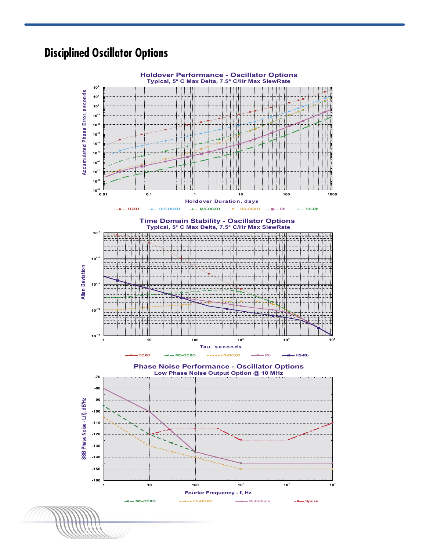### **Disciplined Oscillator Options**